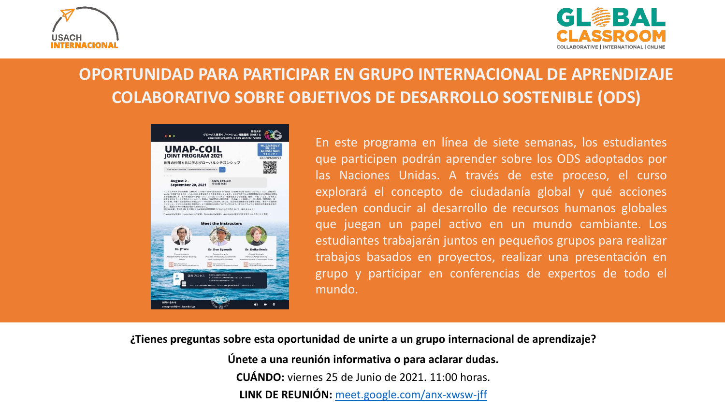



# **OPORTUNIDAD PARA PARTICIPAR EN GRUPO INTERNACIONAL DE APRENDIZAJE COLABORATIVO SOBRE OBJETIVOS DE DESARROLLO SOSTENIBLE (ODS)**



En este programa en línea de siete semanas, los estudiantes que participen podrán aprender sobre los ODS adoptados por las Naciones Unidas. A través de este proceso, el curso explorará el concepto de ciudadanía global y qué acciones pueden conducir al desarrollo de recursos humanos globales que juegan un papel activo en un mundo cambiante. Los estudiantes trabajarán juntos en pequeños grupos para realizar trabajos basados en proyectos, realizar una presentación en grupo y participar en conferencias de expertos de todo el mundo.

**¿Tienes preguntas sobre esta oportunidad de unirte a un grupo internacional de aprendizaje?**

**Únete a una reunión informativa o para aclarar dudas. CUÁNDO:** viernes 25 de Junio de 2021. 11:00 horas. **LINK DE REUNIÓN:** [meet.google.com/anx-xwsw-jff](https://meet.google.com/anx-xwsw-jff?hs=122&authuser=1)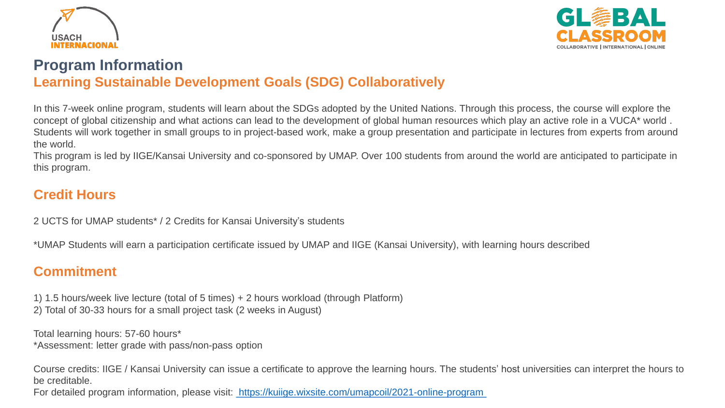



## **Program Information Learning Sustainable Development Goals (SDG) Collaboratively**

In this 7-week online program, students will learn about the SDGs adopted by the United Nations. Through this process, the course will explore the concept of global citizenship and what actions can lead to the development of global human resources which play an active role in a VUCA\* world . Students will work together in small groups to in project-based work, make a group presentation and participate in lectures from experts from around the world.

This program is led by IIGE/Kansai University and co-sponsored by UMAP. Over 100 students from around the world are anticipated to participate in this program.

## **Credit Hours**

2 UCTS for UMAP students\* / 2 Credits for Kansai University's students

\*UMAP Students will earn a participation certificate issued by UMAP and IIGE (Kansai University), with learning hours described

### **Commitment**

1) 1.5 hours/week live lecture (total of 5 times) + 2 hours workload (through Platform) 2) Total of 30-33 hours for a small project task (2 weeks in August)

Total learning hours: 57-60 hours\* \*Assessment: letter grade with pass/non-pass option

Course credits: IIGE / Kansai University can issue a certificate to approve the learning hours. The students' host universities can interpret the hours to be creditable.

For detailed program information, please visit: <https://kuiige.wixsite.com/umapcoil/2021-online-program>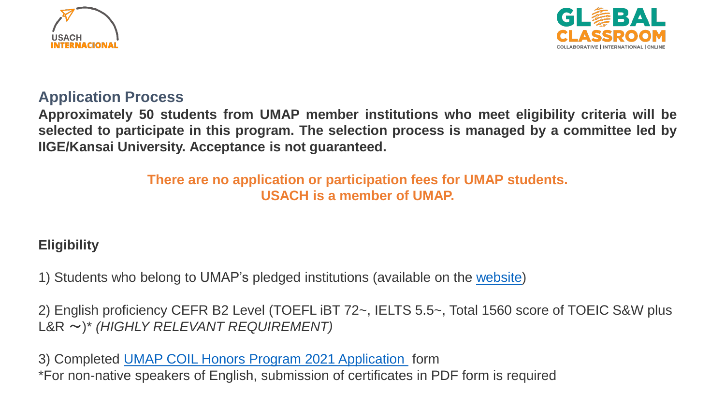



### **Application Process**

**Approximately 50 students from UMAP member institutions who meet eligibility criteria will be selected to participate in this program. The selection process is managed by a committee led by IIGE/Kansai University. Acceptance is not guaranteed.**

> **There are no application or participation fees for UMAP students. USACH is a member of UMAP.**

# **Eligibility**

1) Students who belong to UMAP's pledged institutions (available on the [website](http://umap.org/about/membership/#nationalsecretariat))

2) English proficiency CEFR B2 Level (TOEFL iBT 72~, IELTS 5.5~, Total 1560 score of TOEIC S&W plus L&R ~)\* *(HIGHLY RELEVANT REQUIREMENT)*

3) Completed UMAP COIL Honors Program 2021 [Application](http://umap.org/wp-content/uploads/2021/06/UMAP-COIL-Honors-Program-2021-Application-Form-GENERAL.docx) form \*For non-native speakers of English, submission of certificates in PDF form is required